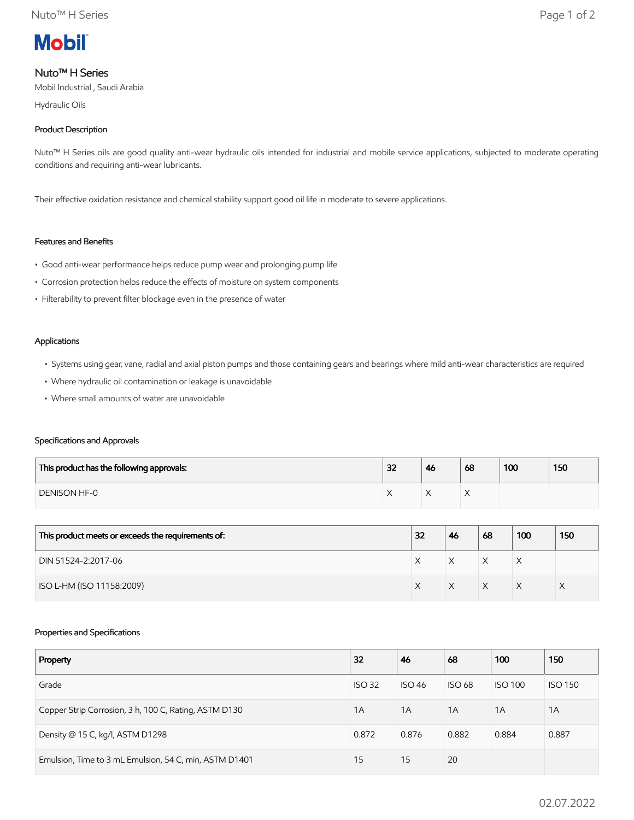

# Nuto™ H Series

Mobil Industrial , Saudi Arabia

Hydraulic Oils

## Product Description

Nuto™ H Series oils are good quality anti-wear hydraulic oils intended for industrial and mobile service applications, subjected to moderate operating conditions and requiring anti-wear lubricants.

Their effective oxidation resistance and chemical stability support good oil life in moderate to severe applications.

## Features and Benefits

- Good anti-wear performance helps reduce pump wear and prolonging pump life
- Corrosion protection helps reduce the effects of moisture on system components
- Filterability to prevent filter blockage even in the presence of water

### Applications

- Systems using gear, vane, radial and axial piston pumps and those containing gears and bearings where mild anti-wear characteristics are required
- Where hydraulic oil contamination or leakage is unavoidable
- Where small amounts of water are unavoidable

## Specifications and Approvals

| This product has the following approvals: | 32 | 46 | 68 | 100 | 150 |
|-------------------------------------------|----|----|----|-----|-----|
| <b>DENISON HF-0</b>                       |    | ⌒  |    |     |     |

| This product meets or exceeds the requirements of: | 32 | 46 | 68 | 100 | 150 |
|----------------------------------------------------|----|----|----|-----|-----|
| DIN 51524-2:2017-06                                |    | X  | X  | ⋏   |     |
| ISO L-HM (ISO 11158:2009)                          |    |    | X  |     |     |

## Properties and Specifications

| Property                                               | 32            | 46            | 68            | 100            | 150            |
|--------------------------------------------------------|---------------|---------------|---------------|----------------|----------------|
| Grade                                                  | <b>ISO 32</b> | <b>ISO 46</b> | <b>ISO 68</b> | <b>ISO 100</b> | <b>ISO 150</b> |
| Copper Strip Corrosion, 3 h, 100 C, Rating, ASTM D130  | 1A            | 1A            | 1A            | 1A             | 1A             |
| Density @ 15 C, kg/l, ASTM D1298                       | 0.872         | 0.876         | 0.882         | 0.884          | 0.887          |
| Emulsion, Time to 3 mL Emulsion, 54 C, min, ASTM D1401 | 15            | 15            | 20            |                |                |